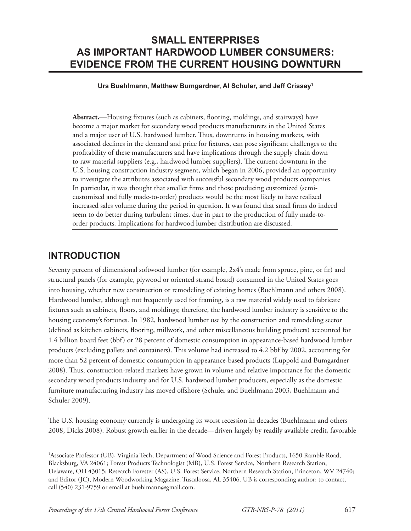# **SMALL ENTERPRISES AS IMPORTANT HARDWOOD LUMBER CONSUMERS: EVIDENCE FROM THE CURRENT HOUSING DOWNTURN**

### **Urs Buehlmann, Matthew Bumgardner, Al Schuler, and Jeff Crissey1**

Abstract.—Housing fixtures (such as cabinets, flooring, moldings, and stairways) have become a major market for secondary wood products manufacturers in the United States and a major user of U.S. hardwood lumber. Thus, downturns in housing markets, with associated declines in the demand and price for fixtures, can pose significant challenges to the profi tability of these manufacturers and have implications through the supply chain down to raw material suppliers  $(e.g., \text{ hardwood lumber suppliers).}$  The current downturn in the U.S. housing construction industry segment, which began in 2006, provided an opportunity to investigate the attributes associated with successful secondary wood products companies. In particular, it was thought that smaller firms and those producing customized (semicustomized and fully made-to-order) products would be the most likely to have realized increased sales volume during the period in question. It was found that small firms do indeed seem to do better during turbulent times, due in part to the production of fully made-toorder products. Implications for hardwood lumber distribution are discussed.

### **INTRODUCTION**

Seventy percent of dimensional softwood lumber (for example, 2x4's made from spruce, pine, or fir) and structural panels (for example, plywood or oriented strand board) consumed in the United States goes into housing, whether new construction or remodeling of existing homes (Buehlmann and others 2008). Hardwood lumber, although not frequently used for framing, is a raw material widely used to fabricate fixtures such as cabinets, floors, and moldings; therefore, the hardwood lumber industry is sensitive to the housing economy's fortunes. In 1982, hardwood lumber use by the construction and remodeling sector (defined as kitchen cabinets, flooring, millwork, and other miscellaneous building products) accounted for 1.4 billion board feet (bbf) or 28 percent of domestic consumption in appearance-based hardwood lumber products (excluding pallets and containers). This volume had increased to 4.2 bbf by 2002, accounting for more than 52 percent of domestic consumption in appearance-based products (Luppold and Bumgardner 2008). Thus, construction-related markets have grown in volume and relative importance for the domestic secondary wood products industry and for U.S. hardwood lumber producers, especially as the domestic furniture manufacturing industry has moved offshore (Schuler and Buehlmann 2003, Buehlmann and Schuler 2009).

The U.S. housing economy currently is undergoing its worst recession in decades (Buehlmann and others 2008, Dicks 2008). Robust growth earlier in the decade—driven largely by readily available credit, favorable

<sup>&</sup>lt;sup>1</sup>Associate Professor (UB), Virginia Tech, Department of Wood Science and Forest Products, 1650 Ramble Road, Blacksburg, VA 24061; Forest Products Technologist (MB), U.S. Forest Service, Northern Research Station, Delaware, OH 43015; Research Forester (AS), U.S. Forest Service, Northern Research Station, Princeton, WV 24740; and Editor (JC), Modern Woodworking Magazine, Tuscaloosa, AL 35406. UB is corresponding author: to contact, call (540) 231-9759 or email at buehlmann@gmail.com.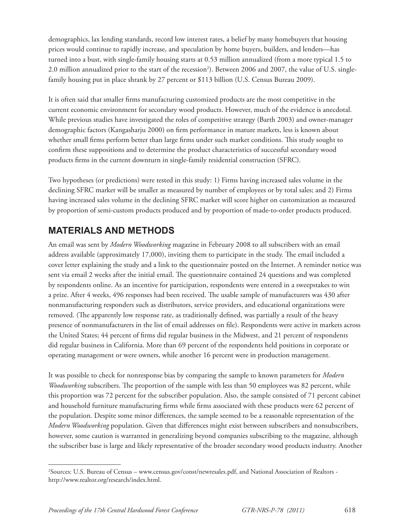demographics, lax lending standards, record low interest rates, a belief by many homebuyers that housing prices would continue to rapidly increase, and speculation by home buyers, builders, and lenders—has turned into a bust, with single-family housing starts at 0.53 million annualized (from a more typical 1.5 to 2.0 million annualized prior to the start of the recession<sup>2</sup>). Between 2006 and 2007, the value of U.S. singlefamily housing put in place shrank by 27 percent or \$113 billion (U.S. Census Bureau 2009).

It is often said that smaller firms manufacturing customized products are the most competitive in the current economic environment for secondary wood products. However, much of the evidence is anecdotal. While previous studies have investigated the roles of competitive strategy (Barth 2003) and owner-manager demographic factors (Kangasharju 2000) on firm performance in mature markets, less is known about whether small firms perform better than large firms under such market conditions. This study sought to confirm these suppositions and to determine the product characteristics of successful secondary wood products firms in the current downturn in single-family residential construction (SFRC).

Two hypotheses (or predictions) were tested in this study: 1) Firms having increased sales volume in the declining SFRC market will be smaller as measured by number of employees or by total sales; and 2) Firms having increased sales volume in the declining SFRC market will score higher on customization as measured by proportion of semi-custom products produced and by proportion of made-to-order products produced.

## **MATERIALS AND METHODS**

An email was sent by *Modern Woodworking* magazine in February 2008 to all subscribers with an email address available (approximately 17,000), inviting them to participate in the study. The email included a cover letter explaining the study and a link to the questionnaire posted on the Internet. A reminder notice was sent via email 2 weeks after the initial email. The questionnaire contained 24 questions and was completed by respondents online. As an incentive for participation, respondents were entered in a sweepstakes to win a prize. After 4 weeks, 496 responses had been received. The usable sample of manufacturers was 430 after nonmanufacturing responders such as distributors, service providers, and educational organizations were removed. (The apparently low response rate, as traditionally defined, was partially a result of the heavy presence of nonmanufacturers in the list of email addresses on file). Respondents were active in markets across the United States; 44 percent of firms did regular business in the Midwest, and 21 percent of respondents did regular business in California. More than 69 percent of the respondents held positions in corporate or operating management or were owners, while another 16 percent were in production management.

It was possible to check for nonresponse bias by comparing the sample to known parameters for *Modern Woodworking* subscribers. The proportion of the sample with less than 50 employees was 82 percent, while this proportion was 72 percent for the subscriber population. Also, the sample consisted of 71 percent cabinet and household furniture manufacturing firms while firms associated with these products were 62 percent of the population. Despite some minor differences, the sample seemed to be a reasonable representation of the *Modern Woodworking* population. Given that differences might exist between subscribers and nonsubscribers, however, some caution is warranted in generalizing beyond companies subscribing to the magazine, although the subscriber base is large and likely representative of the broader secondary wood products industry. Another

<sup>2</sup> Sources: U.S. Bureau of Census – www.census.gov/const/newresales.pdf, and National Association of Realtors http://www.realtor.org/research/index.html.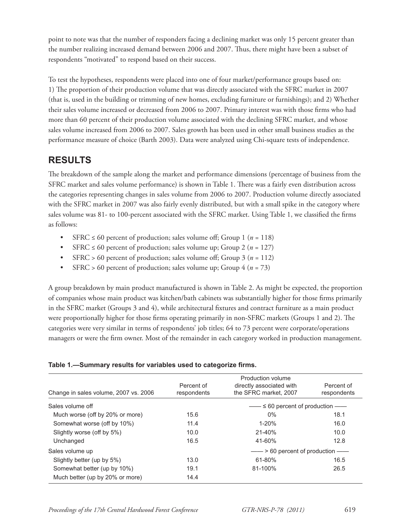point to note was that the number of responders facing a declining market was only 15 percent greater than the number realizing increased demand between 2006 and 2007. Thus, there might have been a subset of respondents "motivated" to respond based on their success.

To test the hypotheses, respondents were placed into one of four market/performance groups based on: 1) The proportion of their production volume that was directly associated with the SFRC market in 2007 (that is, used in the building or trimming of new homes, excluding furniture or furnishings); and 2) Whether their sales volume increased or decreased from 2006 to 2007. Primary interest was with those firms who had more than 60 percent of their production volume associated with the declining SFRC market, and whose sales volume increased from 2006 to 2007. Sales growth has been used in other small business studies as the performance measure of choice (Barth 2003). Data were analyzed using Chi-square tests of independence.

## **RESULTS**

The breakdown of the sample along the market and performance dimensions (percentage of business from the SFRC market and sales volume performance) is shown in Table 1. There was a fairly even distribution across the categories representing changes in sales volume from 2006 to 2007. Production volume directly associated with the SFRC market in 2007 was also fairly evenly distributed, but with a small spike in the category where sales volume was 81- to 100-percent associated with the SFRC market. Using Table 1, we classified the firms as follows:

- SFRC  $\leq 60$  percent of production; sales volume off; Group 1 ( $n = 118$ )
- SFRC  $\leq 60$  percent of production; sales volume up; Group 2 ( $n = 127$ )
- SFRC > 60 percent of production; sales volume off; Group  $3 (n = 112)$
- SFRC > 60 percent of production; sales volume up; Group  $4 (n = 73)$

A group breakdown by main product manufactured is shown in Table 2. As might be expected, the proportion of companies whose main product was kitchen/bath cabinets was substantially higher for those firms primarily in the SFRC market (Groups 3 and 4), while architectural fixtures and contract furniture as a main product were proportionally higher for those firms operating primarily in non-SFRC markets (Groups 1 and 2). The categories were very similar in terms of respondents' job titles; 64 to 73 percent were corporate/operations managers or were the firm owner. Most of the remainder in each category worked in production management.

### Table 1.—Summary results for variables used to categorize firms.

| Percent of<br>respondents | Production volume<br>directly associated with<br>the SFRC market, 2007 | Percent of<br>respondents |
|---------------------------|------------------------------------------------------------------------|---------------------------|
|                           | $-\rightarrow$ $\leq$ 60 percent of production $-\rightarrow$          |                           |
| 15.6                      | $0\%$                                                                  | 18.1                      |
| 11.4                      | $1 - 20%$                                                              | 16.0                      |
| 10.0                      | $21 - 40%$                                                             | 10.0                      |
| 16.5                      | 41-60%                                                                 | 12.8                      |
|                           | ---> 60 percent of production -                                        |                           |
| 13.0                      | 61-80%                                                                 | 16.5                      |
| 19.1                      | 81-100%                                                                | 26.5                      |
| 14.4                      |                                                                        |                           |
|                           |                                                                        |                           |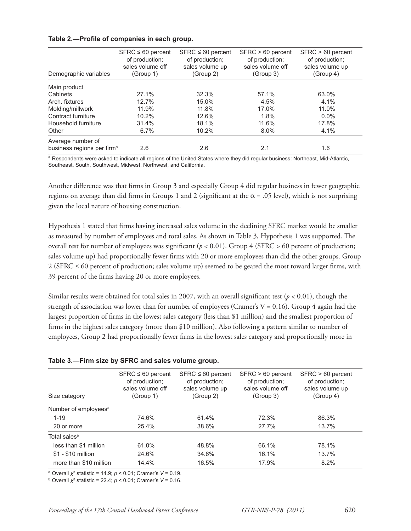| Demographic variables                  | $SFRC \leq 60$ percent<br>of production;<br>sales volume off<br>(Group 1) | $SFRC \leq 60$ percent<br>of production;<br>sales volume up<br>(Group 2) | SFRC > 60 percent<br>of production;<br>sales volume off<br>(Group 3) | SFRC > 60 percent<br>of production;<br>sales volume up<br>(Group 4) |
|----------------------------------------|---------------------------------------------------------------------------|--------------------------------------------------------------------------|----------------------------------------------------------------------|---------------------------------------------------------------------|
| Main product                           |                                                                           |                                                                          |                                                                      |                                                                     |
| Cabinets                               | 27.1%                                                                     | 32.3%                                                                    | 57.1%                                                                | 63.0%                                                               |
| Arch, fixtures                         | 12.7%                                                                     | 15.0%                                                                    | 4.5%                                                                 | 4.1%                                                                |
| Molding/millwork                       | 11.9%                                                                     | 11.8%                                                                    | 17.0%                                                                | 11.0%                                                               |
| Contract furniture                     | 10.2%                                                                     | 12.6%                                                                    | 1.8%                                                                 | $0.0\%$                                                             |
| Household furniture                    | 31.4%                                                                     | 18.1%                                                                    | 11.6%                                                                | 17.8%                                                               |
| Other                                  | 6.7%                                                                      | 10.2%                                                                    | $8.0\%$                                                              | 4.1%                                                                |
| Average number of                      |                                                                           |                                                                          |                                                                      |                                                                     |
| business regions per firm <sup>a</sup> | 2.6                                                                       | 2.6                                                                      | 2.1                                                                  | 1.6                                                                 |

### Table 2.—Profile of companies in each group.

a Respondents were asked to indicate all regions of the United States where they did regular business: Northeast, Mid-Atlantic, Southeast, South, Southwest, Midwest, Northwest, and California.

Another difference was that firms in Group 3 and especially Group 4 did regular business in fewer geographic regions on average than did firms in Groups 1 and 2 (significant at the  $\alpha$  = .05 level), which is not surprising given the local nature of housing construction.

Hypothesis 1 stated that firms having increased sales volume in the declining SFRC market would be smaller as measured by number of employees and total sales. As shown in Table 3, Hypothesis 1 was supported. The overall test for number of employees was significant ( $p < 0.01$ ). Group 4 (SFRC > 60 percent of production; sales volume up) had proportionally fewer firms with 20 or more employees than did the other groups. Group  $2$  (SFRC  $\leq$  60 percent of production; sales volume up) seemed to be geared the most toward larger firms, with 39 percent of the firms having 20 or more employees.

Similar results were obtained for total sales in 2007, with an overall significant test ( $p < 0.01$ ), though the strength of association was lower than for number of employees (Cramer's  $V = 0.16$ ). Group 4 again had the largest proportion of firms in the lowest sales category (less than \$1 million) and the smallest proportion of firms in the highest sales category (more than \$10 million). Also following a pattern similar to number of employees, Group 2 had proportionally fewer firms in the lowest sales category and proportionally more in

#### **Table 3.—Firm size by SFRC and sales volume group.**

| Size category                    | $SFRC \leq 60$ percent<br>of production;<br>sales volume off<br>(Group 1) | $SFRC \leq 60$ percent<br>of production;<br>sales volume up<br>(Group 2) | $SFRC > 60$ percent<br>of production:<br>sales volume off<br>(Group 3) | $SFRC > 60$ percent<br>of production;<br>sales volume up<br>(Group 4) |
|----------------------------------|---------------------------------------------------------------------------|--------------------------------------------------------------------------|------------------------------------------------------------------------|-----------------------------------------------------------------------|
| Number of employees <sup>a</sup> |                                                                           |                                                                          |                                                                        |                                                                       |
| $1 - 19$                         | 74.6%                                                                     | 61.4%                                                                    | 72.3%                                                                  | 86.3%                                                                 |
| 20 or more                       | 25.4%                                                                     | 38.6%                                                                    | 27.7%                                                                  | 13.7%                                                                 |
| Total sales <sup>b</sup>         |                                                                           |                                                                          |                                                                        |                                                                       |
| less than \$1 million            | 61.0%                                                                     | 48.8%                                                                    | 66.1%                                                                  | 78.1%                                                                 |
| $$1 - $10$ million               | 24.6%                                                                     | 34.6%                                                                    | 16.1%                                                                  | 13.7%                                                                 |
| more than \$10 million           | 14.4%                                                                     | 16.5%                                                                    | 17.9%                                                                  | 8.2%                                                                  |

<sup>a</sup> Overall *χ*<sup>2</sup> statistic = 14.9; *p* < 0.01; Cramer's *V* = 0.19.

<sup>b</sup> Overall *Ȥ*<sup>2</sup> statistic = 22.4; *p* < 0.01; Cramer's *V* = 0.16.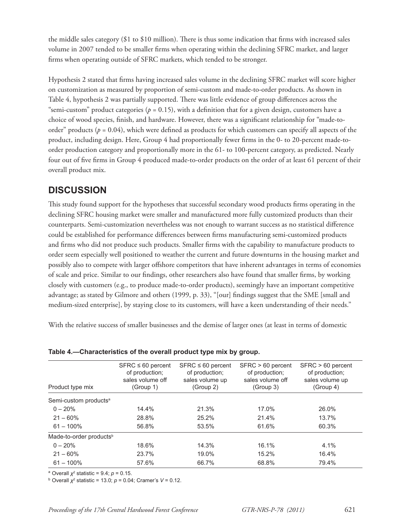the middle sales category (\$1 to \$10 million). There is thus some indication that firms with increased sales volume in 2007 tended to be smaller firms when operating within the declining SFRC market, and larger firms when operating outside of SFRC markets, which tended to be stronger.

Hypothesis 2 stated that firms having increased sales volume in the declining SFRC market will score higher on customization as measured by proportion of semi-custom and made-to-order products. As shown in Table 4, hypothesis 2 was partially supported. There was little evidence of group differences across the "semi-custom" product categories ( $p = 0.15$ ), with a definition that for a given design, customers have a choice of wood species, finish, and hardware. However, there was a significant relationship for "made-toorder" products ( $p = 0.04$ ), which were defined as products for which customers can specify all aspects of the product, including design. Here, Group 4 had proportionally fewer firms in the 0- to 20-percent made-toorder production category and proportionally more in the 61- to 100-percent category, as predicted. Nearly four out of five firms in Group 4 produced made-to-order products on the order of at least 61 percent of their overall product mix.

## **DISCUSSION**

This study found support for the hypotheses that successful secondary wood products firms operating in the declining SFRC housing market were smaller and manufactured more fully customized products than their counterparts. Semi-customization nevertheless was not enough to warrant success as no statistical difference could be established for performance differences between firms manufacturing semi-customized products and firms who did not produce such products. Smaller firms with the capability to manufacture products to order seem especially well positioned to weather the current and future downturns in the housing market and possibly also to compete with larger offshore competitors that have inherent advantages in terms of economies of scale and price. Similar to our findings, other researchers also have found that smaller firms, by working closely with customers (e.g., to produce made-to-order products), seemingly have an important competitive advantage; as stated by Gilmore and others (1999, p. 33), "[our] findings suggest that the SME [small and medium-sized enterprise], by staying close to its customers, will have a keen understanding of their needs."

With the relative success of smaller businesses and the demise of larger ones (at least in terms of domestic

| Product type mix                    | $SFRC \leq 60$ percent<br>of production;<br>sales volume off<br>(Group 1) | $SFRC \leq 60$ percent<br>of production:<br>sales volume up<br>(Group 2) | SFRC > 60 percent<br>of production;<br>sales volume off<br>(Group 3) | SFRC > 60 percent<br>of production:<br>sales volume up<br>(Group 4) |
|-------------------------------------|---------------------------------------------------------------------------|--------------------------------------------------------------------------|----------------------------------------------------------------------|---------------------------------------------------------------------|
| Semi-custom products <sup>a</sup>   |                                                                           |                                                                          |                                                                      |                                                                     |
| $0 - 20%$                           | 14.4%                                                                     | 21.3%                                                                    | 17.0%                                                                | 26.0%                                                               |
| $21 - 60%$                          | 28.8%                                                                     | 25.2%                                                                    | 21.4%                                                                | 13.7%                                                               |
| $61 - 100\%$                        | 56.8%                                                                     | 53.5%                                                                    | 61.6%                                                                | 60.3%                                                               |
| Made-to-order products <sup>b</sup> |                                                                           |                                                                          |                                                                      |                                                                     |
| $0 - 20%$                           | 18.6%                                                                     | 14.3%                                                                    | 16.1%                                                                | 4.1%                                                                |
| $21 - 60%$                          | 23.7%                                                                     | 19.0%                                                                    | 15.2%                                                                | 16.4%                                                               |
| $61 - 100\%$                        | 57.6%                                                                     | 66.7%                                                                    | 68.8%                                                                | 79.4%                                                               |

**Table 4.—Characteristics of the overall product type mix by group.**

<sup>a</sup> Overall  $\chi^2$  statistic = 9.4;  $p = 0.15$ .

<sup>b</sup> Overall *Ȥ*<sup>2</sup> statistic = 13.0; *p* = 0.04; Cramer's *V* = 0.12.